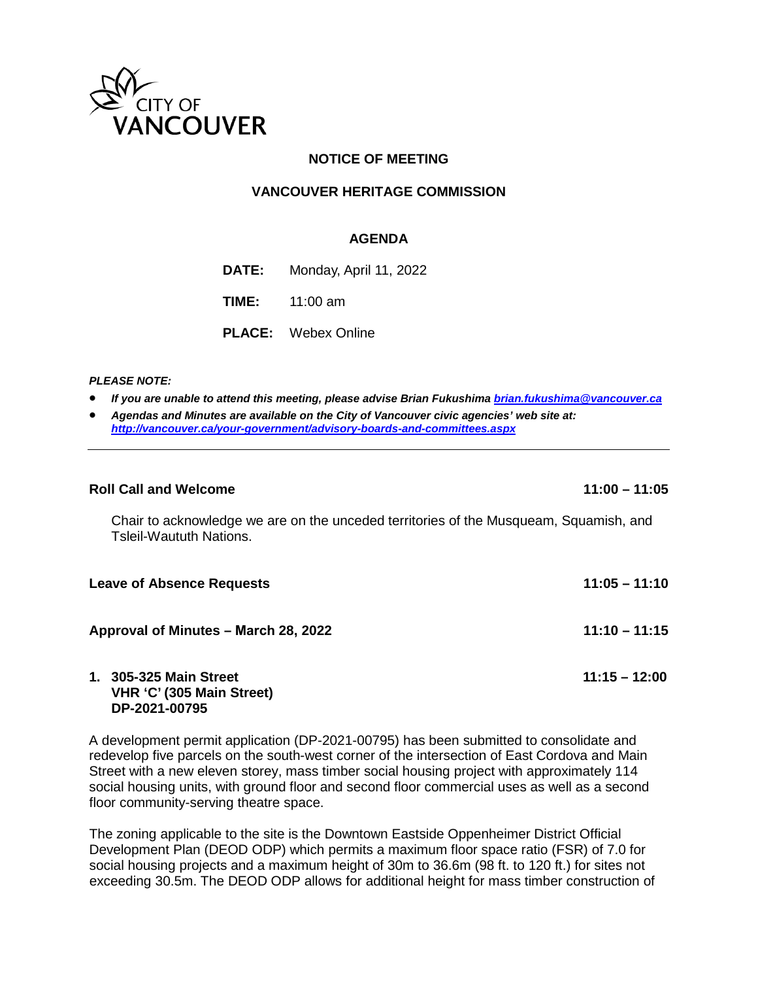

# **NOTICE OF MEETING**

## **VANCOUVER HERITAGE COMMISSION**

## **AGENDA**

**DATE:** Monday, April 11, 2022

**TIME:** 11:00 am

**PLACE:** Webex Online

## *PLEASE NOTE:*

- *If you are unable to attend this meeting, please advise Brian Fukushima [brian.fukushima@vancouver.ca](mailto:brian.fukushima@vancouver.ca)*
- *Agendas and Minutes are available on the City of Vancouver civic agencies' web site at: <http://vancouver.ca/your-government/advisory-boards-and-committees.aspx>*

#### **Roll Call and Welcome 11:00 – 11:05**

Chair to acknowledge we are on the unceded territories of the Musqueam, Squamish, and Tsleil-Waututh Nations.

| <b>Leave of Absence Requests</b>     | $11:05 - 11:10$ |
|--------------------------------------|-----------------|
| Approval of Minutes - March 28, 2022 | $11:10 - 11:15$ |
| 1. 305-325 Main Street               | $11:15 - 12:00$ |

# **VHR 'C' (305 Main Street) DP-2021-00795**

A development permit application (DP-2021-00795) has been submitted to consolidate and redevelop five parcels on the south-west corner of the intersection of East Cordova and Main Street with a new eleven storey, mass timber social housing project with approximately 114 social housing units, with ground floor and second floor commercial uses as well as a second floor community-serving theatre space.

The zoning applicable to the site is the Downtown Eastside Oppenheimer District Official Development Plan (DEOD ODP) which permits a maximum floor space ratio (FSR) of 7.0 for social housing projects and a maximum height of 30m to 36.6m (98 ft. to 120 ft.) for sites not exceeding 30.5m. The DEOD ODP allows for additional height for mass timber construction of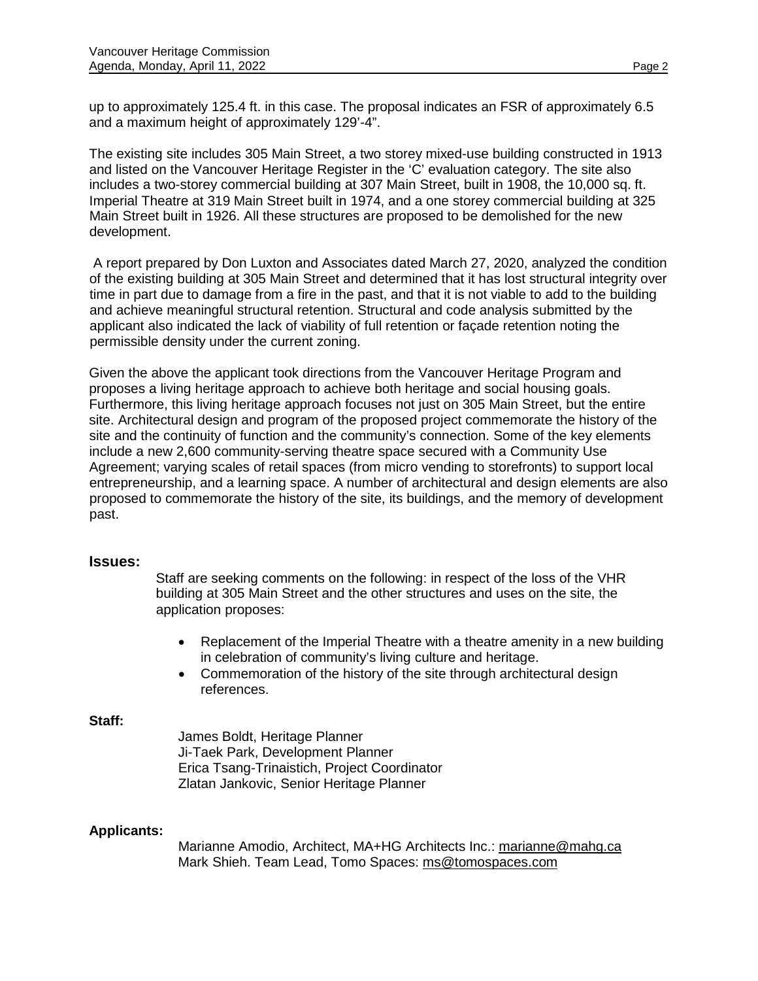up to approximately 125.4 ft. in this case. The proposal indicates an FSR of approximately 6.5 and a maximum height of approximately 129'-4".

The existing site includes 305 Main Street, a two storey mixed-use building constructed in 1913 and listed on the Vancouver Heritage Register in the 'C' evaluation category. The site also includes a two-storey commercial building at 307 Main Street, built in 1908, the 10,000 sq. ft. Imperial Theatre at 319 Main Street built in 1974, and a one storey commercial building at 325 Main Street built in 1926. All these structures are proposed to be demolished for the new development.

 A report prepared by Don Luxton and Associates dated March 27, 2020, analyzed the condition of the existing building at 305 Main Street and determined that it has lost structural integrity over time in part due to damage from a fire in the past, and that it is not viable to add to the building and achieve meaningful structural retention. Structural and code analysis submitted by the applicant also indicated the lack of viability of full retention or façade retention noting the permissible density under the current zoning.

Given the above the applicant took directions from the Vancouver Heritage Program and proposes a living heritage approach to achieve both heritage and social housing goals. Furthermore, this living heritage approach focuses not just on 305 Main Street, but the entire site. Architectural design and program of the proposed project commemorate the history of the site and the continuity of function and the community's connection. Some of the key elements include a new 2,600 community-serving theatre space secured with a Community Use Agreement; varying scales of retail spaces (from micro vending to storefronts) to support local entrepreneurship, and a learning space. A number of architectural and design elements are also proposed to commemorate the history of the site, its buildings, and the memory of development past.

# **Issues:**

Staff are seeking comments on the following: in respect of the loss of the VHR building at 305 Main Street and the other structures and uses on the site, the application proposes:

- Replacement of the Imperial Theatre with a theatre amenity in a new building in celebration of community's living culture and heritage.
- Commemoration of the history of the site through architectural design references.

## **Staff:**

James Boldt, Heritage Planner Ji-Taek Park, Development Planner Erica Tsang-Trinaistich, Project Coordinator Zlatan Jankovic, Senior Heritage Planner

# **Applicants:**

Marianne Amodio, Architect, MA+HG Architects Inc.: [marianne@mahg.ca](mailto:marianne@mahg.ca) Mark Shieh. Team Lead, Tomo Spaces: [ms@tomospaces.com](mailto:ms@tomospaces.com)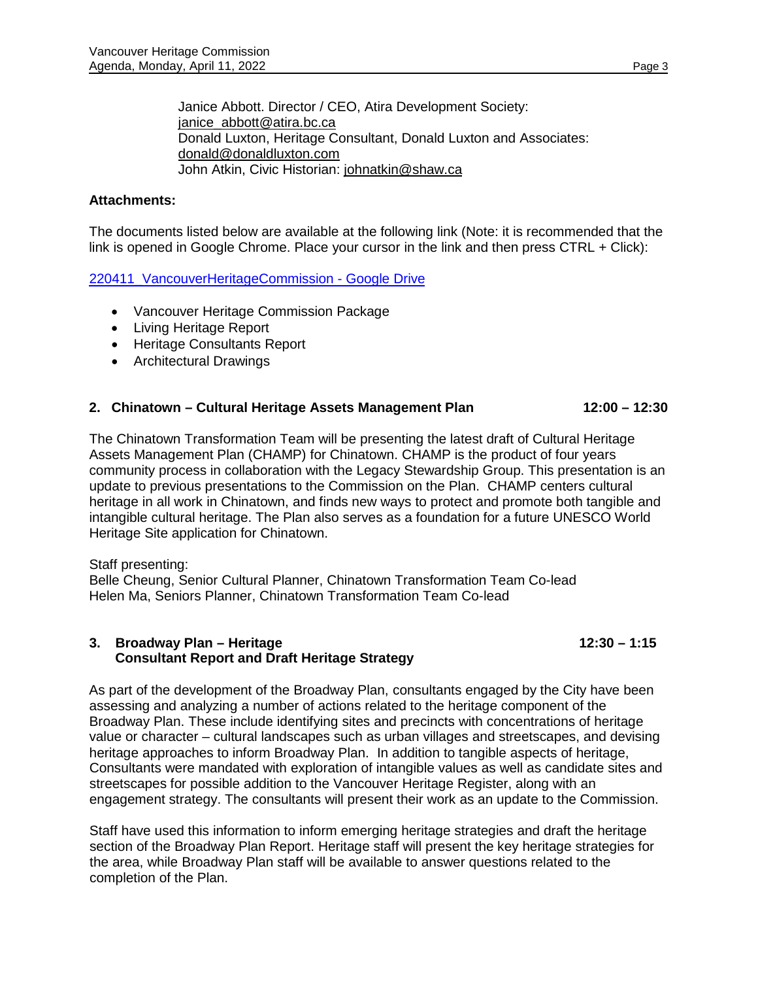Janice Abbott. Director / CEO, Atira Development Society: [janice\\_abbott@atira.bc.ca](mailto:janice_abbott@atira.bc.ca) Donald Luxton, Heritage Consultant, Donald Luxton and Associates: [donald@donaldluxton.com](mailto:donald@donaldluxton.com) John Atkin, Civic Historian: [johnatkin@shaw.ca](mailto:johnatkin@shaw.ca)

## **Attachments:**

The documents listed below are available at the following link (Note: it is recommended that the link is opened in Google Chrome. Place your cursor in the link and then press CTRL + Click):

220411 VancouverHeritageCommission - Google Drive

- Vancouver Heritage Commission Package
- Living Heritage Report
- Heritage Consultants Report
- Architectural Drawings

## **2. Chinatown – Cultural Heritage Assets Management Plan 12:00 – 12:30**

The Chinatown Transformation Team will be presenting the latest draft of Cultural Heritage Assets Management Plan (CHAMP) for Chinatown. CHAMP is the product of four years community process in collaboration with the Legacy Stewardship Group. This presentation is an update to previous presentations to the Commission on the Plan. CHAMP centers cultural heritage in all work in Chinatown, and finds new ways to protect and promote both tangible and intangible cultural heritage. The Plan also serves as a foundation for a future UNESCO World Heritage Site application for Chinatown.

## Staff presenting:

Belle Cheung, Senior Cultural Planner, Chinatown Transformation Team Co-lead Helen Ma, Seniors Planner, Chinatown Transformation Team Co-lead

## **3. Broadway Plan – Heritage 12:30 – 1:15 Consultant Report and Draft Heritage Strategy**

As part of the development of the Broadway Plan, consultants engaged by the City have been assessing and analyzing a number of actions related to the heritage component of the Broadway Plan. These include identifying sites and precincts with concentrations of heritage value or character – cultural landscapes such as urban villages and streetscapes, and devising heritage approaches to inform Broadway Plan. In addition to tangible aspects of heritage, Consultants were mandated with exploration of intangible values as well as candidate sites and streetscapes for possible addition to the Vancouver Heritage Register, along with an engagement strategy. The consultants will present their work as an update to the Commission.

Staff have used this information to inform emerging heritage strategies and draft the heritage section of the Broadway Plan Report. Heritage staff will present the key heritage strategies for the area, while Broadway Plan staff will be available to answer questions related to the completion of the Plan.